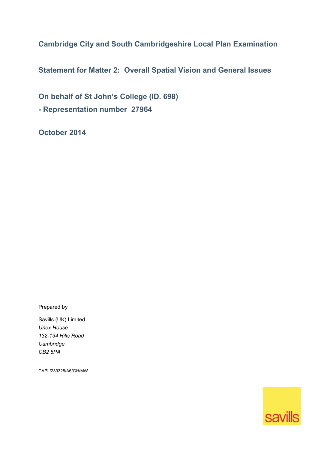**Cambridge City and South Cambridgeshire Local Plan Examination** 

**Statement for Matter 2: Overall Spatial Vision and General Issues** 

**On behalf of St John's College (ID. 698)** 

**- Representation number 27964** 

**October 2014** 

Prepared by

Savills (UK) Limited *Unex House 132-134 Hills Road Cambridge CB2 8PA* 

CAPL/239328/A6/GH/MW

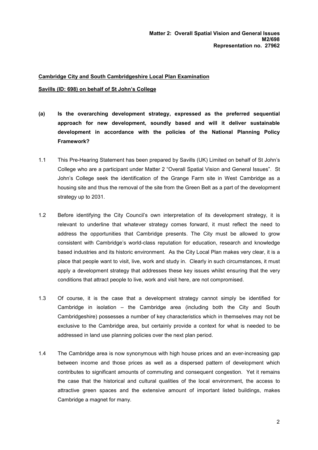## **Cambridge City and South Cambridgeshire Local Plan Examination**

## **Savills (ID: 698) on behalf of St John's College**

- **(a) Is the overarching development strategy, expressed as the preferred sequential approach for new development, soundly based and will it deliver sustainable development in accordance with the policies of the National Planning Policy Framework?**
- 1.1 This Pre-Hearing Statement has been prepared by Savills (UK) Limited on behalf of St John's College who are a participant under Matter 2 "Overall Spatial Vision and General Issues". St John's College seek the identification of the Grange Farm site in West Cambridge as a housing site and thus the removal of the site from the Green Belt as a part of the development strategy up to 2031.
- 1.2 Before identifying the City Council's own interpretation of its development strategy, it is relevant to underline that whatever strategy comes forward, it must reflect the need to address the opportunities that Cambridge presents. The City must be allowed to grow consistent with Cambridge's world-class reputation for education, research and knowledge based industries and its historic environment. As the City Local Plan makes very clear, it is a place that people want to visit, live, work and study in. Clearly in such circumstances, it must apply a development strategy that addresses these key issues whilst ensuring that the very conditions that attract people to live, work and visit here, are not compromised.
- 1.3 Of course, it is the case that a development strategy cannot simply be identified for Cambridge in isolation – the Cambridge area (including both the City and South Cambridgeshire) possesses a number of key characteristics which in themselves may not be exclusive to the Cambridge area, but certainly provide a context for what is needed to be addressed in land use planning policies over the next plan period.
- 1.4 The Cambridge area is now synonymous with high house prices and an ever-increasing gap between income and those prices as well as a dispersed pattern of development which contributes to significant amounts of commuting and consequent congestion. Yet it remains the case that the historical and cultural qualities of the local environment, the access to attractive green spaces and the extensive amount of important listed buildings, makes Cambridge a magnet for many.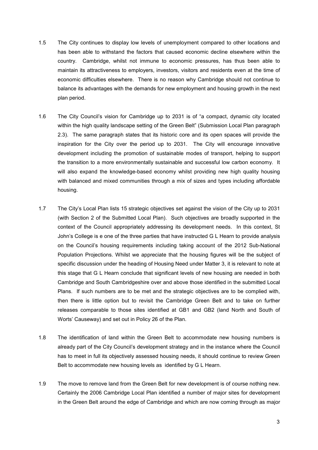- 1.5 The City continues to display low levels of unemployment compared to other locations and has been able to withstand the factors that caused economic decline elsewhere within the country. Cambridge, whilst not immune to economic pressures, has thus been able to maintain its attractiveness to employers, investors, visitors and residents even at the time of economic difficulties elsewhere. There is no reason why Cambridge should not continue to balance its advantages with the demands for new employment and housing growth in the next plan period.
- 1.6 The City Council's vision for Cambridge up to 2031 is of "a compact, dynamic city located within the high quality landscape setting of the Green Belt" (Submission Local Plan paragraph 2.3). The same paragraph states that its historic core and its open spaces will provide the inspiration for the City over the period up to 2031. The City will encourage innovative development including the promotion of sustainable modes of transport, helping to support the transition to a more environmentally sustainable and successful low carbon economy. It will also expand the knowledge-based economy whilst providing new high quality housing with balanced and mixed communities through a mix of sizes and types including affordable housing.
- 1.7 The City's Local Plan lists 15 strategic objectives set against the vision of the City up to 2031 (with Section 2 of the Submitted Local Plan). Such objectives are broadly supported in the context of the Council appropriately addressing its development needs. In this context, St John's College is e one of the three parties that have instructed G L Hearn to provide analysis on the Council's housing requirements including taking account of the 2012 Sub-National Population Projections. Whilst we appreciate that the housing figures will be the subject of specific discussion under the heading of Housing Need under Matter 3, it is relevant to note at this stage that G L Hearn conclude that significant levels of new housing are needed in both Cambridge and South Cambridgeshire over and above those identified in the submitted Local Plans. If such numbers are to be met and the strategic objectives are to be complied with, then there is little option but to revisit the Cambridge Green Belt and to take on further releases comparable to those sites identified at GB1 and GB2 (land North and South of Worts' Causeway) and set out in Policy 26 of the Plan.
- 1.8 The identification of land within the Green Belt to accommodate new housing numbers is already part of the City Council's development strategy and in the instance where the Council has to meet in full its objectively assessed housing needs, it should continue to review Green Belt to accommodate new housing levels as identified by G L Hearn.
- 1.9 The move to remove land from the Green Belt for new development is of course nothing new. Certainly the 2006 Cambridge Local Plan identified a number of major sites for development in the Green Belt around the edge of Cambridge and which are now coming through as major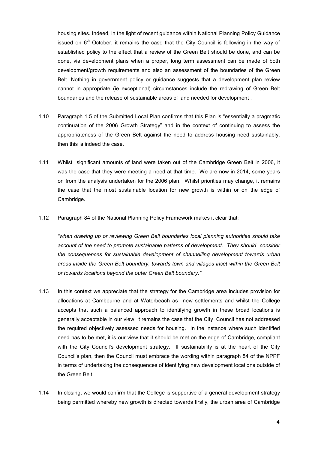housing sites. Indeed, in the light of recent guidance within National Planning Policy Guidance issued on  $6<sup>th</sup>$  October, it remains the case that the City Council is following in the way of established policy to the effect that a review of the Green Belt should be done, and can be done, via development plans when a proper, long term assessment can be made of both development/growth requirements and also an assessment of the boundaries of the Green Belt. Nothing in government policy or guidance suggests that a development plan review cannot in appropriate (ie exceptional) circumstances include the redrawing of Green Belt boundaries and the release of sustainable areas of land needed for development .

- 1.10 Paragraph 1.5 of the Submitted Local Plan confirms that this Plan is "essentially a pragmatic continuation of the 2006 Growth Strategy" and in the context of continuing to assess the appropriateness of the Green Belt against the need to address housing need sustainably, then this is indeed the case.
- 1.11 Whilst significant amounts of land were taken out of the Cambridge Green Belt in 2006, it was the case that they were meeting a need at that time. We are now in 2014, some years on from the analysis undertaken for the 2006 plan. Whilst priorities may change, it remains the case that the most sustainable location for new growth is within or on the edge of Cambridge.
- 1.12 Paragraph 84 of the National Planning Policy Framework makes it clear that:

*"when drawing up or reviewing Green Belt boundaries local planning authorities should take account of the need to promote sustainable patterns of development. They should consider the consequences for sustainable development of channelling development towards urban areas inside the Green Belt boundary, towards town and villages inset within the Green Belt or towards locations beyond the outer Green Belt boundary."* 

- 1.13 In this context we appreciate that the strategy for the Cambridge area includes provision for allocations at Cambourne and at Waterbeach as new settlements and whilst the College accepts that such a balanced approach to identifying growth in these broad locations is generally acceptable in our view, it remains the case that the City Council has not addressed the required objectively assessed needs for housing. In the instance where such identified need has to be met, it is our view that it should be met on the edge of Cambridge, compliant with the City Council's development strategy. If sustainability is at the heart of the City Council's plan, then the Council must embrace the wording within paragraph 84 of the NPPF in terms of undertaking the consequences of identifying new development locations outside of the Green Belt.
- 1.14 In closing, we would confirm that the College is supportive of a general development strategy being permitted whereby new growth is directed towards firstly, the urban area of Cambridge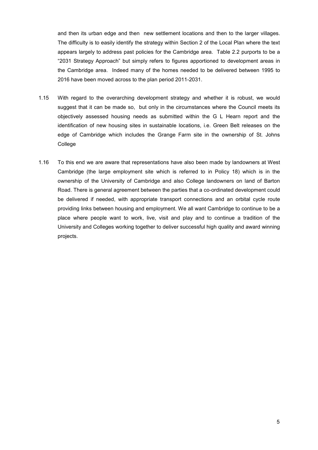and then its urban edge and then new settlement locations and then to the larger villages. The difficulty is to easily identify the strategy within Section 2 of the Local Plan where the text appears largely to address past policies for the Cambridge area. Table 2.2 purports to be a "2031 Strategy Approach" but simply refers to figures apportioned to development areas in the Cambridge area. Indeed many of the homes needed to be delivered between 1995 to 2016 have been moved across to the plan period 2011-2031.

- 1.15 With regard to the overarching development strategy and whether it is robust, we would suggest that it can be made so, but only in the circumstances where the Council meets its objectively assessed housing needs as submitted within the G L Hearn report and the identification of new housing sites in sustainable locations, i.e. Green Belt releases on the edge of Cambridge which includes the Grange Farm site in the ownership of St. Johns College
- 1.16 To this end we are aware that representations have also been made by landowners at West Cambridge (the large employment site which is referred to in Policy 18) which is in the ownership of the University of Cambridge and also College landowners on land of Barton Road. There is general agreement between the parties that a co-ordinated development could be delivered if needed, with appropriate transport connections and an orbital cycle route providing links between housing and employment. We all want Cambridge to continue to be a place where people want to work, live, visit and play and to continue a tradition of the University and Colleges working together to deliver successful high quality and award winning projects.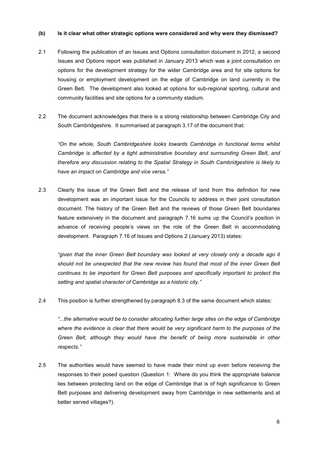## **(b) Is it clear what other strategic options were considered and why were they dismissed?**

- 2.1 Following the publication of an Issues and Options consultation document in 2012, a second Issues and Options report was published in January 2013 which was a joint consultation on options for the development strategy for the wider Cambridge area and for site options for housing or employment development on the edge of Cambridge on land currently in the Green Belt. The development also looked at options for sub-regional sporting, cultural and community facilities and site options for a community stadium.
- 2.2 The document acknowledges that there is a strong relationship between Cambridge City and South Cambridgeshire. It summarised at paragraph 3.17 of the document that:

*"On the whole, South Cambridgeshire looks towards Cambridge in functional terms whilst Cambridge is affected by a tight administrative boundary and surrounding Green Belt, and therefore any discussion relating to the Spatial Strategy in South Cambridgeshire is likely to have an impact on Cambridge and vice versa."* 

2.3 Clearly the issue of the Green Belt and the release of land from this definition for new development was an important issue for the Councils to address in their joint consultation document. The history of the Green Belt and the reviews of those Green Belt boundaries feature extensively in the document and paragraph 7.16 sums up the Council's position in advance of receiving people's views on the role of the Green Belt in accommodating development. Paragraph 7.16 of Issues and Options 2 (January 2013) states:

*"given that the inner Green Belt boundary was looked at very closely only a decade ago it should not be unexpected that the new review has found that most of the inner Green Belt continues to be important for Green Belt purposes and specifically important to protect the setting and spatial character of Cambridge as a historic city."* 

2.4 This position is further strengthened by paragraph 8.3 of the same document which states:

*"...the alternative would be to consider allocating further large sites on the edge of Cambridge where the evidence is clear that there would be very significant harm to the purposes of the Green Belt, although they would have the benefit of being more sustainable in other respects."* 

2.5 The authorities would have seemed to have made their mind up even before receiving the responses to their posed question (Question 1: Where do you think the appropriate balance lies between protecting land on the edge of Cambridge that is of high significance to Green Belt purposes and delivering development away from Cambridge in new settlements and at better served villages?).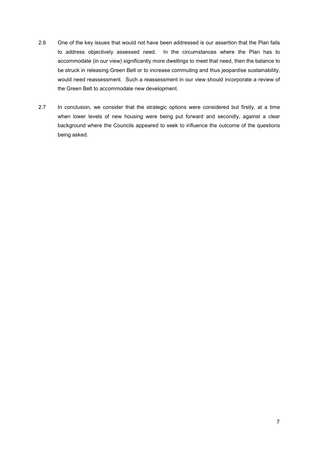- 2.6 One of the key issues that would not have been addressed is our assertion that the Plan fails to address objectively assessed need. In the circumstances where the Plan has to accommodate (in our view) significantly more dwellings to meet that need, then the balance to be struck in releasing Green Belt or to increase commuting and thus jeopardise sustainability, would need reassessment. Such a reassessment in our view should incorporate a review of the Green Belt to accommodate new development.
- 2.7 In conclusion, we consider that the strategic options were considered but firstly, at a time when lower levels of new housing were being put forward and secondly, against a clear background where the Councils appeared to seek to influence the outcome of the questions being asked.